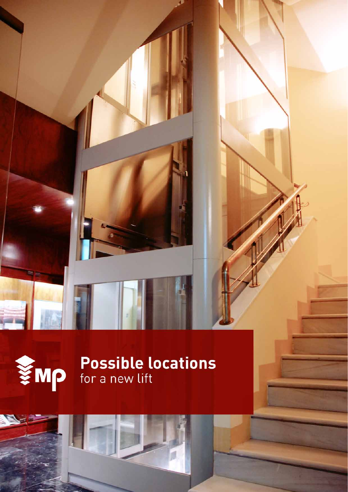



# We Possible locations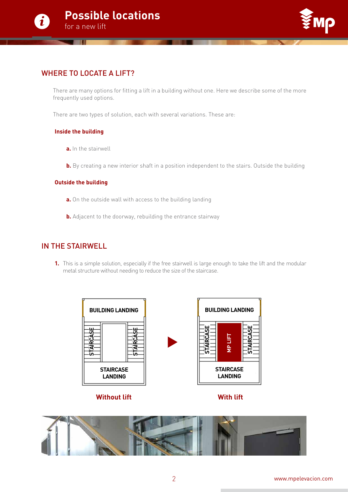



# WHERE TO LOCATE A LIFT?

There are many options for fitting a lift in a building without one. Here we describe some of the more frequently used options.

There are two types of solution, each with several variations. These are:

#### **Inside the building**

- **a.** In the stairwell
- **b.** By creating a new interior shaft in a position independent to the stairs. Outside the building

#### **Outside the building**

- **a.** On the outside wall with access to the building landing
- **b.** Adjacent to the doorway, rebuilding the entrance stairway

# IN THE STAIRWELL

**1.** This is a simple solution, especially if the free stairwell is large enough to take the lift and the modular metal structure without needing to reduce the size of the staircase.



**Without lift**

**With lift**

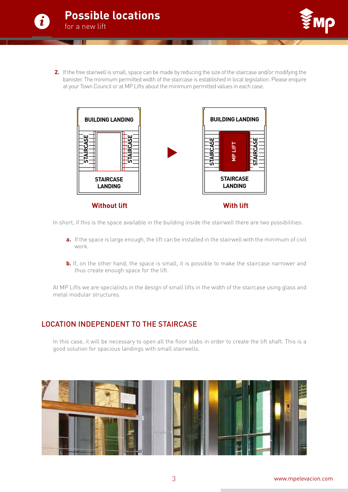



**2.** If the free stairwell is small, space can be made by reducing the size of the staircase and/or modifying the banister. The minimum permitted width of the staircase is established in local legislation. Please enquire at your Town Council or at MP Lifts about the minimum permitted values in each case.



**Without lift**

In short, if this is the space available in the building inside the stairwell there are two possibilities:

- **a.** If the space is large enough, the lift can be installed in the stairwell with the minimum of civil work.
- **b.** If, on the other hand, the space is small, it is possible to make the staircase narrower and thus create enough space for the lift.

At MP Lifts we are specialists in the design of small lifts in the width of the staircase using glass and metal modular structures.

## LOCATION INDEPENDENT TO THE STAIRCASE

In this case, it will be necessary to open all the floor slabs in order to create the lift shaft. This is a good solution for spacious landings with small stairwells.

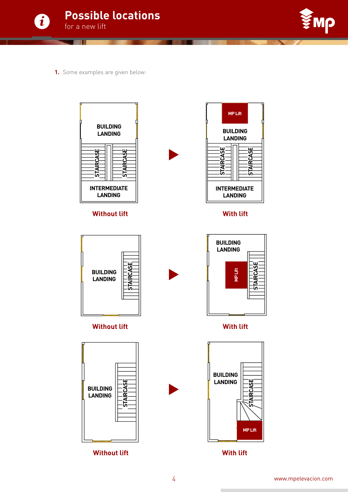



**1.** Some examples are given below:



## **Without lift**



#### **Without lift**



**Without lift**



## **With lift**





**With lift**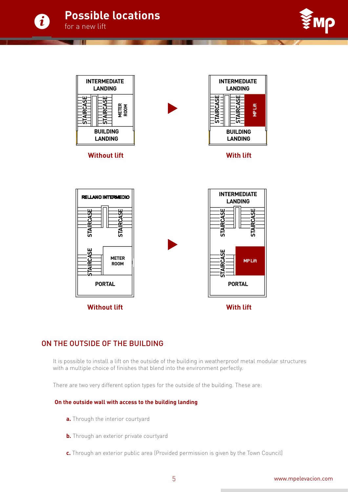





# ON THE OUTSIDE OF THE BUILDING

It is possible to install a lift on the outside of the building in weatherproof metal modular structures with a multiple choice of finishes that blend into the environment perfectly.

There are two very different option types for the outside of the building. These are:

#### **On the outside wall with access to the building landing**

- **a.** Through the interior courtyard
- **b.** Through an exterior private courtyard
-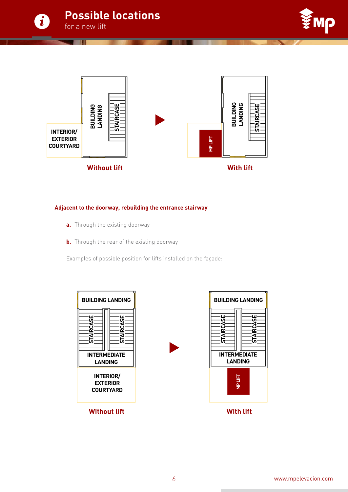





#### **Adjacent to the doorway, rebuilding the entrance stairway**

- **a.** Through the existing doorway
- **b.** Through the rear of the existing doorway

Examples of possible position for lifts installed on the façade:



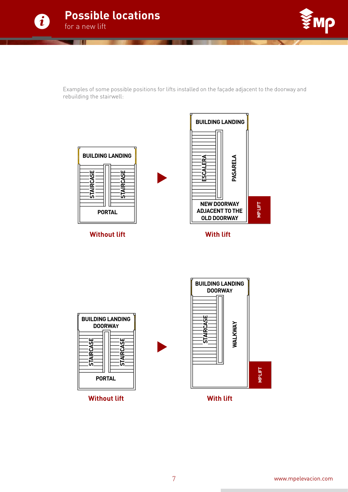



Examples of some possible positions for lifts installed on the façade adjacent to the doorway and rebuilding the stairwell:



**Without lift**

**Without lift**



**With lift**



**With lift**